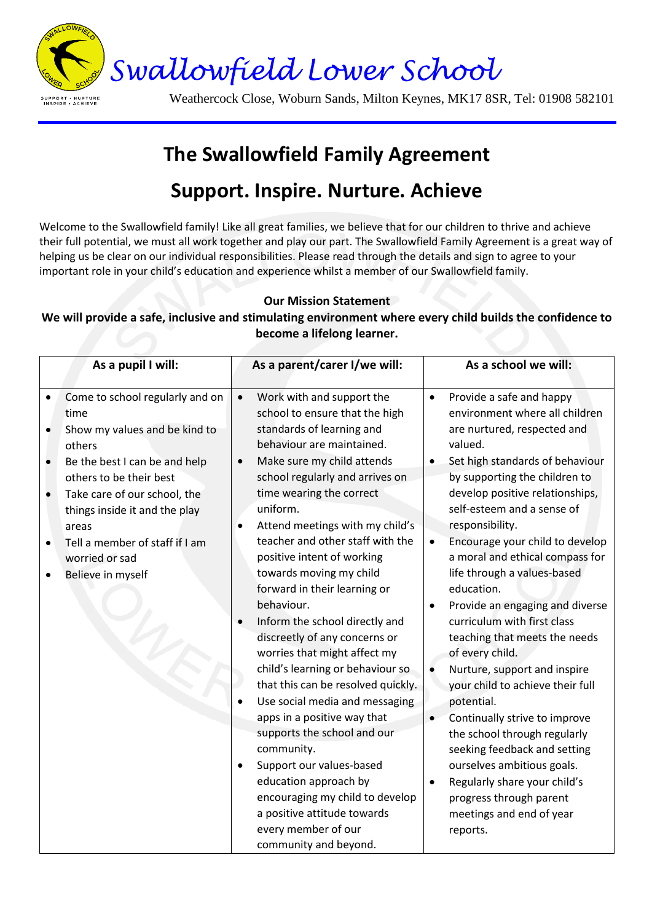

SUPPORT • NURTURI<br>INSPIRE • ACHIEVE

Weathercock Close, Woburn Sands, Milton Keynes, MK17 8SR, Tel: 01908 582101

## **The Swallowfield Family Agreement Support. Inspire. Nurture. Achieve**

Welcome to the Swallowfield family! Like all great families, we believe that for our children to thrive and achieve their full potential, we must all work together and play our part. The Swallowfield Family Agreement is a great way of helping us be clear on our individual responsibilities. Please read through the details and sign to agree to your important role in your child's education and experience whilst a member of our Swallowfield family.

## **Our Mission Statement**

## **We will provide a safe, inclusive and stimulating environment where every child builds the confidence to become a lifelong learner.**

| As a pupil I will:     |                                                                                                                                                 |                        | As a parent/carer I/we will:                                                                                                                                                                                                                                                                                                                                                                                                                                     |                                                  | As a school we will:                                                                                                                                                                                                                                                                                                                                                                                                                         |  |
|------------------------|-------------------------------------------------------------------------------------------------------------------------------------------------|------------------------|------------------------------------------------------------------------------------------------------------------------------------------------------------------------------------------------------------------------------------------------------------------------------------------------------------------------------------------------------------------------------------------------------------------------------------------------------------------|--------------------------------------------------|----------------------------------------------------------------------------------------------------------------------------------------------------------------------------------------------------------------------------------------------------------------------------------------------------------------------------------------------------------------------------------------------------------------------------------------------|--|
|                        |                                                                                                                                                 |                        |                                                                                                                                                                                                                                                                                                                                                                                                                                                                  |                                                  |                                                                                                                                                                                                                                                                                                                                                                                                                                              |  |
| $\bullet$              | Come to school regularly and on<br>time<br>Show my values and be kind to<br>others                                                              | $\bullet$              | Work with and support the<br>school to ensure that the high<br>standards of learning and<br>behaviour are maintained.                                                                                                                                                                                                                                                                                                                                            | $\bullet$                                        | Provide a safe and happy<br>environment where all children<br>are nurtured, respected and<br>valued.                                                                                                                                                                                                                                                                                                                                         |  |
| $\bullet$              | Be the best I can be and help<br>others to be their best                                                                                        | $\bullet$              | Make sure my child attends<br>school regularly and arrives on                                                                                                                                                                                                                                                                                                                                                                                                    |                                                  | Set high standards of behaviour<br>by supporting the children to                                                                                                                                                                                                                                                                                                                                                                             |  |
| $\bullet$<br>$\bullet$ | Take care of our school, the<br>things inside it and the play<br>areas<br>Tell a member of staff if I am<br>worried or sad<br>Believe in myself | $\bullet$<br>$\bullet$ | time wearing the correct<br>uniform.<br>Attend meetings with my child's<br>teacher and other staff with the<br>positive intent of working<br>towards moving my child<br>forward in their learning or<br>behaviour.<br>Inform the school directly and<br>discreetly of any concerns or<br>worries that might affect my<br>child's learning or behaviour so<br>that this can be resolved quickly.<br>Use social media and messaging<br>apps in a positive way that | $\bullet$<br>$\bullet$<br>$\bullet$<br>$\bullet$ | develop positive relationships,<br>self-esteem and a sense of<br>responsibility.<br>Encourage your child to develop<br>a moral and ethical compass for<br>life through a values-based<br>education.<br>Provide an engaging and diverse<br>curriculum with first class<br>teaching that meets the needs<br>of every child.<br>Nurture, support and inspire<br>your child to achieve their full<br>potential.<br>Continually strive to improve |  |
|                        |                                                                                                                                                 | $\bullet$              | supports the school and our<br>community.<br>Support our values-based                                                                                                                                                                                                                                                                                                                                                                                            |                                                  | the school through regularly<br>seeking feedback and setting<br>ourselves ambitious goals.                                                                                                                                                                                                                                                                                                                                                   |  |
|                        |                                                                                                                                                 |                        | education approach by<br>encouraging my child to develop<br>a positive attitude towards<br>every member of our<br>community and beyond.                                                                                                                                                                                                                                                                                                                          | ٠                                                | Regularly share your child's<br>progress through parent<br>meetings and end of year<br>reports.                                                                                                                                                                                                                                                                                                                                              |  |